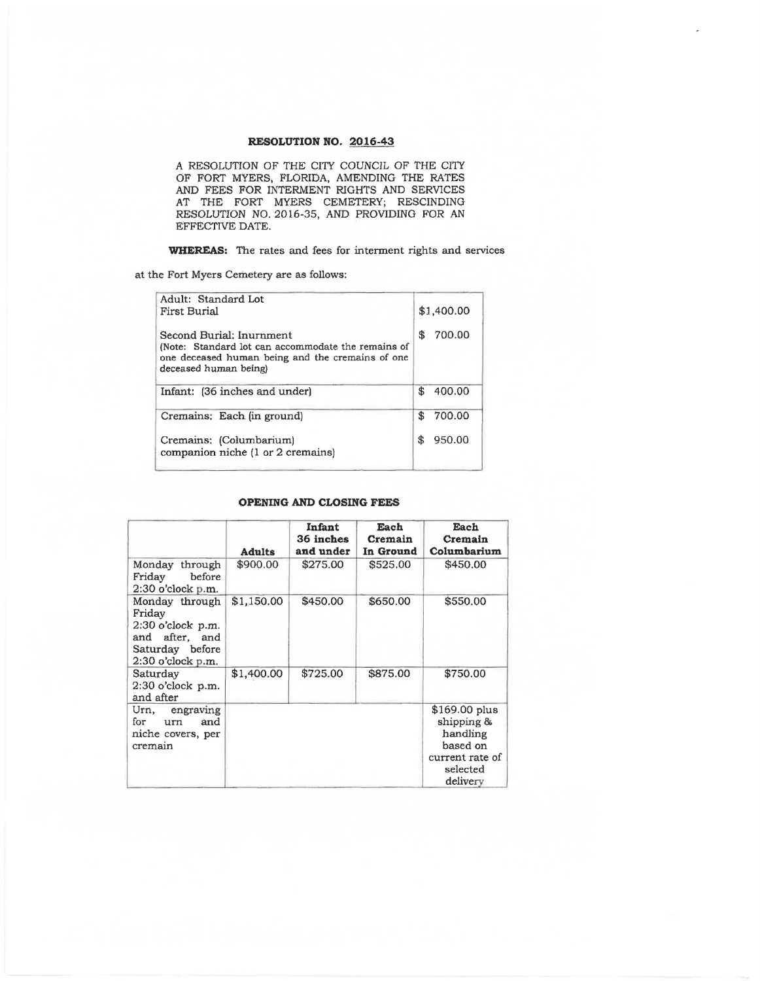A RESOLUTION OF THE CITY COUNCIL OF THE CITY OF FORT MYERS; FLORIDA, AMENDING THE RATES AND FEES FOR INTERMENT RIGHTS AND SERVICES AT THE FORT MYERS CEMETERY; RESCINDING RESOLUTION NO. 2016-35, AND PROVIDING FOR AN EFFECTIVE DATE.

**WHEREAS:** The rates and fees for interment rights and services

at the Fort Myers Cemetery are as follows:

| Adult: Standard Lot<br><b>First Burial</b>                                                                                                                  |     | \$1,400.00 |
|-------------------------------------------------------------------------------------------------------------------------------------------------------------|-----|------------|
| Second Burial: Inurnment<br>(Note: Standard lot can accommodate the remains of<br>one deceased human being and the cremains of one<br>deceased human being) | \$  | 700.00     |
| Infant: (36 inches and under)                                                                                                                               | \$. | 400.00     |
| Cremains: Each (in ground)                                                                                                                                  | \$  | 700.00     |
| Cremains: (Columbarium)<br>companion niche (1 or 2 cremains)                                                                                                | \$  | 950.00     |
|                                                                                                                                                             |     |            |

#### **()PENING AND CLOSING FEES**

|                                                                                                           | <b>Adults</b> | Infant<br>36 inches<br>and under | Each<br>Cremain<br>In Ground | Each<br>Cremain<br>Columbarium                                                                  |
|-----------------------------------------------------------------------------------------------------------|---------------|----------------------------------|------------------------------|-------------------------------------------------------------------------------------------------|
| Monday through<br>Friday<br>before<br>$2:30$ o'clock p.m.                                                 | \$900.00      | \$275.00                         | \$525.00                     | \$450.00                                                                                        |
| Monday through<br>Fridav<br>2:30 o'clock p.m.<br>and after, and<br>Saturday before<br>$2:30$ o'clock p.m. | \$1,150.00    | \$450.00                         | \$650.00                     | \$550.00                                                                                        |
| Saturday<br>2:30 o'clock p.m.<br>and after                                                                | \$1,400.00    | \$725.00                         | \$875.00                     | \$750.00                                                                                        |
| Urn, engraving<br>for<br>and<br>urn<br>niche covers, per<br>cremain                                       |               |                                  |                              | $$169.00$ plus<br>shipping &<br>handling<br>based on<br>current rate of<br>selected<br>delivery |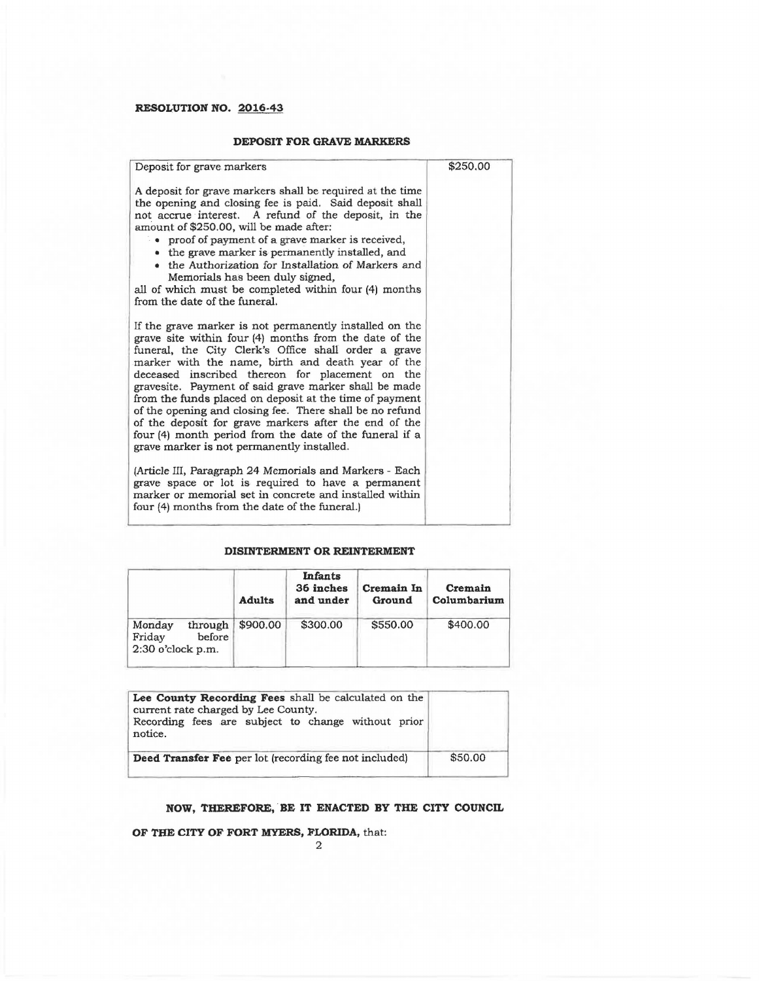#### **DEPOSIT FOR GRAVE MARKERS**

| Deposit for grave markers                                                                                                                                                                                                                                                                                                                                                                                                                                                                                                                                                                                                           | \$250.00 |
|-------------------------------------------------------------------------------------------------------------------------------------------------------------------------------------------------------------------------------------------------------------------------------------------------------------------------------------------------------------------------------------------------------------------------------------------------------------------------------------------------------------------------------------------------------------------------------------------------------------------------------------|----------|
| A deposit for grave markers shall be required at the time<br>the opening and closing fee is paid. Said deposit shall<br>not accrue interest. A refund of the deposit, in the<br>amount of \$250.00, will be made after:<br>• proof of payment of a grave marker is received,<br>• the grave marker is permanently installed, and<br>• the Authorization for Installation of Markers and<br>Memorials has been duly signed,<br>all of which must be completed within four (4) months<br>from the date of the funeral.                                                                                                                |          |
| If the grave marker is not permanently installed on the<br>grave site within four (4) months from the date of the<br>funeral, the City Clerk's Office shall order a grave<br>marker with the name, birth and death year of the<br>deceased inscribed thereon for placement on the<br>gravesite. Payment of said grave marker shall be made<br>from the funds placed on deposit at the time of payment<br>of the opening and closing fee. There shall be no refund<br>of the deposit for grave markers after the end of the<br>four (4) month period from the date of the funeral if a<br>grave marker is not permanently installed. |          |
| (Article III, Paragraph 24 Memorials and Markers - Each<br>grave space or lot is required to have a permanent<br>marker or memorial set in concrete and installed within<br>four (4) months from the date of the funeral.)                                                                                                                                                                                                                                                                                                                                                                                                          |          |

### **DISINTERMENT OR REINTERMENT**

|                                                              | <b>Adults</b> | <b>Infants</b><br>36 inches<br>and under | Cremain In<br>Ground | Cremain<br>Columbarium |
|--------------------------------------------------------------|---------------|------------------------------------------|----------------------|------------------------|
| through<br>Monday<br>Friday<br>before<br>$2:30$ o'clock p.m. | \$900.00      | \$300.00                                 | \$550.00             | \$400.00               |

| Lee County Recording Fees shall be calculated on the<br>current rate charged by Lee County.<br>Recording fees are subject to change without prior<br>notice. |         |
|--------------------------------------------------------------------------------------------------------------------------------------------------------------|---------|
| Deed Transfer Fee per lot (recording fee not included)                                                                                                       | \$50.00 |

## **NOW, THEREFORE, BE IT ENACTED BY THE CITY COUNCIL**

**OF THE CITY OF FORT MYERS, FLORIDA, that:**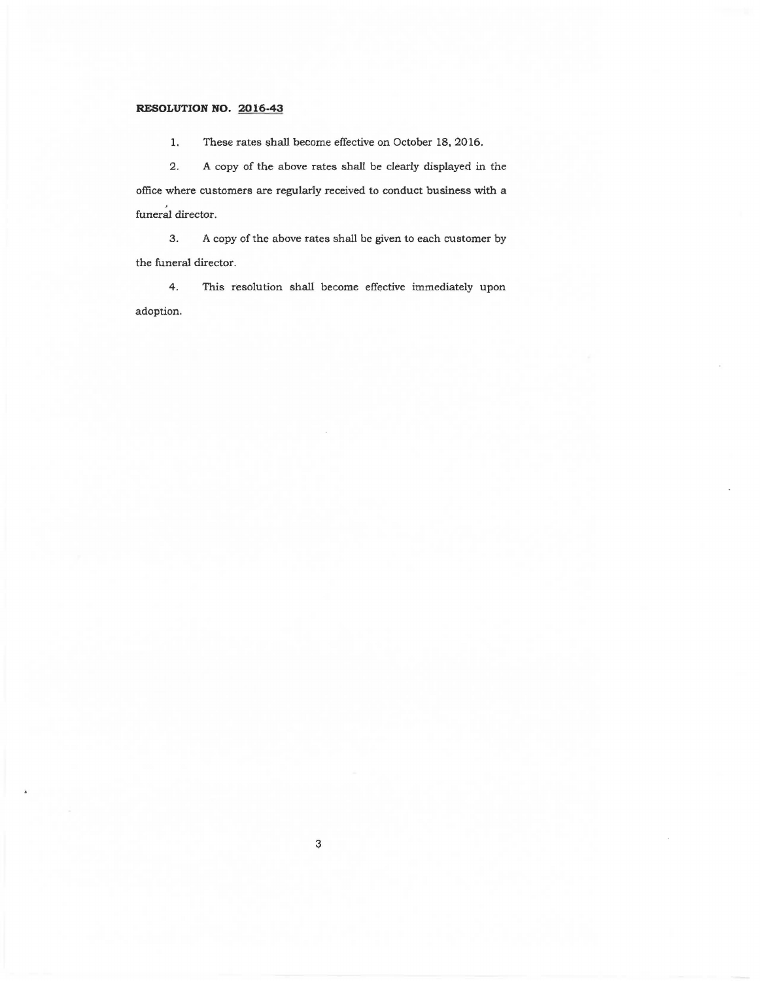1. These rates shall become effective on October 18, 2016.

2. A copy of the above rates shall be clearly displayed in the office where customers are regularly received to conduct business with a funeral director.

3. A copy of the above rates shall be given to each customer by the funeral director.

4. This resolution shall become effective immediately upon adoption.